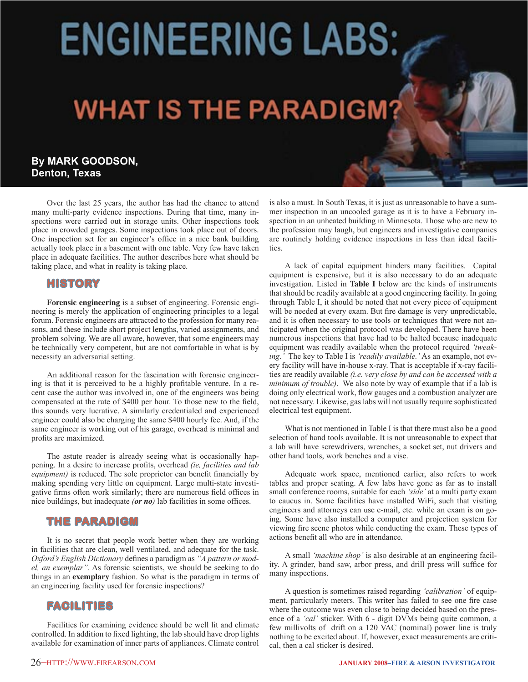# **ENGINEERING LABS:**

# **WHAT IS THE PARADIGM?**

# **By MARK GOODSON, Denton, Texas**

Over the last 25 years, the author has had the chance to attend many multi-party evidence inspections. During that time, many inspections were carried out in storage units. Other inspections took place in crowded garages. Some inspections took place out of doors. One inspection set for an engineer's office in a nice bank building actually took place in a basement with one table. Very few have taken place in adequate facilities. The author describes here what should be taking place, and what in reality is taking place.

## **HISTORY**

**Forensic engineering** is a subset of engineering. Forensic engineering is merely the application of engineering principles to a legal forum. Forensic engineers are attracted to the profession for many reasons, and these include short project lengths, varied assignments, and problem solving. We are all aware, however, that some engineers may be technically very competent, but are not comfortable in what is by necessity an adversarial setting.

 An additional reason for the fascination with forensic engineering is that it is perceived to be a highly profitable venture. In a recent case the author was involved in, one of the engineers was being compensated at the rate of \$400 per hour. To those new to the field, this sounds very lucrative. A similarly credentialed and experienced engineer could also be charging the same \$400 hourly fee. And, if the same engineer is working out of his garage, overhead is minimal and profits are maximized.

 The astute reader is already seeing what is occasionally happening. In a desire to increase profits, overhead *(ie, facilities and lab equipment)* is reduced. The sole proprietor can benefit financially by making spending very little on equipment. Large multi-state investigative firms often work similarly; there are numerous field offices in nice buildings, but inadequate *(or no)* lab facilities in some offices.

# **THE PARADIGM**

 It is no secret that people work better when they are working in facilities that are clean, well ventilated, and adequate for the task. *Oxford's English Dictionary* defines a paradigm as *"A pattern or model, an exemplar"*. As forensic scientists, we should be seeking to do things in an **exemplary** fashion. So what is the paradigm in terms of an engineering facility used for forensic inspections?

### **FACILITIES**

 Facilities for examining evidence should be well lit and climate controlled. In addition to fixed lighting, the lab should have drop lights available for examination of inner parts of appliances. Climate control is also a must. In South Texas, it is just as unreasonable to have a summer inspection in an uncooled garage as it is to have a February inspection in an unheated building in Minnesota. Those who are new to the profession may laugh, but engineers and investigative companies are routinely holding evidence inspections in less than ideal facilities.

 A lack of capital equipment hinders many facilities. Capital equipment is expensive, but it is also necessary to do an adequate investigation. Listed in **Table I** below are the kinds of instruments that should be readily available at a good engineering facility. In going through Table I, it should be noted that not every piece of equipment will be needed at every exam. But fire damage is very unpredictable, and it is often necessary to use tools or techniques that were not anticipated when the original protocol was developed. There have been numerous inspections that have had to be halted because inadequate equipment was readily available when the protocol required *'tweaking.'* The key to Table I is *'readily available.'* As an example, not every facility will have in-house x-ray. That is acceptable if x-ray facilities are readily available *(i.e. very close by and can be accessed with a minimum of trouble)*. We also note by way of example that if a lab is doing only electrical work, flow gauges and a combustion analyzer are not necessary. Likewise, gas labs will not usually require sophisticated electrical test equipment.

 What is not mentioned in Table I is that there must also be a good selection of hand tools available. It is not unreasonable to expect that a lab will have screwdrivers, wrenches, a socket set, nut drivers and other hand tools, work benches and a vise.

 Adequate work space, mentioned earlier, also refers to work tables and proper seating. A few labs have gone as far as to install small conference rooms, suitable for each *'side'* at a multi party exam to caucus in. Some facilities have installed WiFi, such that visiting engineers and attorneys can use e-mail, etc. while an exam is on going. Some have also installed a computer and projection system for viewing fire scene photos while conducting the exam. These types of actions benefit all who are in attendance.

 A small *'machine shop'* is also desirable at an engineering facility. A grinder, band saw, arbor press, and drill press will suffice for many inspections.

 A question is sometimes raised regarding *'calibration'* of equipment, particularly meters. This writer has failed to see one fire case where the outcome was even close to being decided based on the presence of a *'cal'* sticker. With 6 - digit DVMs being quite common, a few millivolts of drift on a 120 VAC (nominal) power line is truly nothing to be excited about. If, however, exact measurements are critical, then a cal sticker is desired.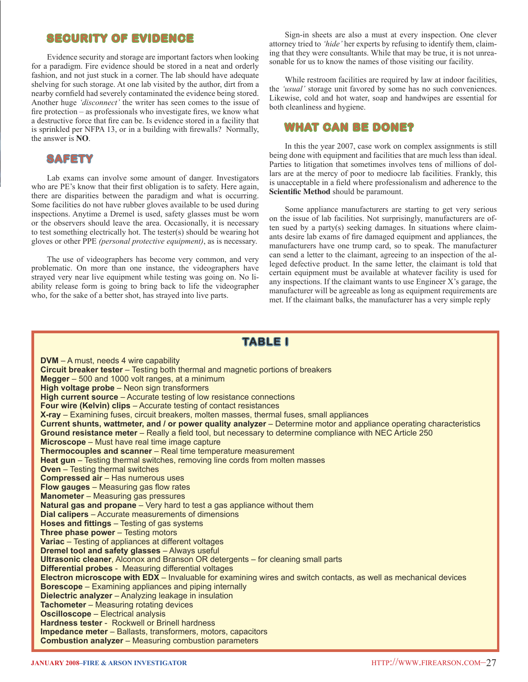# **SECURITY OF EVIDENCE**

 Evidence security and storage are important factors when looking for a paradigm. Fire evidence should be stored in a neat and orderly fashion, and not just stuck in a corner. The lab should have adequate shelving for such storage. At one lab visited by the author, dirt from a nearby cornfield had severely contaminated the evidence being stored. Another huge *'disconnect'* the writer has seen comes to the issue of fire protection – as professionals who investigate fires, we know what a destructive force that fire can be. Is evidence stored in a facility that is sprinkled per NFPA 13, or in a building with firewalls? Normally, the answer is **NO**.

# **SAFETY**

 Lab exams can involve some amount of danger. Investigators who are PE's know that their first obligation is to safety. Here again, there are disparities between the paradigm and what is occurring. Some facilities do not have rubber gloves available to be used during inspections. Anytime a Dremel is used, safety glasses must be worn or the observers should leave the area. Occasionally, it is necessary to test something electrically hot. The tester(s) should be wearing hot gloves or other PPE *(personal protective equipment)*, as is necessary.

 The use of videographers has become very common, and very problematic. On more than one instance, the videographers have strayed very near live equipment while testing was going on. No liability release form is going to bring back to life the videographer who, for the sake of a better shot, has strayed into live parts.

 Sign-in sheets are also a must at every inspection. One clever attorney tried to *'hide'* her experts by refusing to identify them, claiming that they were consultants. While that may be true, it is not unreasonable for us to know the names of those visiting our facility.

 While restroom facilities are required by law at indoor facilities, the *'usual'* storage unit favored by some has no such conveniences. Likewise, cold and hot water, soap and handwipes are essential for both cleanliness and hygiene.

### **WHAT CAN BE DONE?**

 In this the year 2007, case work on complex assignments is still being done with equipment and facilities that are much less than ideal. Parties to litigation that sometimes involves tens of millions of dollars are at the mercy of poor to mediocre lab facilities. Frankly, this is unacceptable in a field where professionalism and adherence to the **Scientific Method** should be paramount.

 Some appliance manufacturers are starting to get very serious on the issue of lab facilities. Not surprisingly, manufacturers are often sued by a party(s) seeking damages. In situations where claimants desire lab exams of fire damaged equipment and appliances, the manufacturers have one trump card, so to speak. The manufacturer can send a letter to the claimant, agreeing to an inspection of the alleged defective product. In the same letter, the claimant is told that certain equipment must be available at whatever facility is used for any inspections. If the claimant wants to use Engineer X's garage, the manufacturer will be agreeable as long as equipment requirements are met. If the claimant balks, the manufacturer has a very simple reply

# **TABLE I**

**DVM** – A must, needs 4 wire capability **Circuit breaker tester** – Testing both thermal and magnetic portions of breakers **Megger** – 500 and 1000 volt ranges, at a minimum **High voltage probe** – Neon sign transformers **High current source** – Accurate testing of low resistance connections **Four wire (Kelvin) clips** – Accurate testing of contact resistances **X-ray** – Examining fuses, circuit breakers, molten masses, thermal fuses, small appliances **Current shunts, wattmeter, and / or power quality analyzer** – Determine motor and appliance operating characteristics **Ground resistance meter** – Really a field tool, but necessary to determine compliance with NEC Article 250 **Microscope** – Must have real time image capture **Thermocouples and scanner** – Real time temperature measurement **Heat gun** – Testing thermal switches, removing line cords from molten masses **Oven** – Testing thermal switches **Compressed air** – Has numerous uses **Flow gauges** – Measuring gas flow rates **Manometer** – Measuring gas pressures **Natural gas and propane** – Very hard to test a gas appliance without them **Dial calipers** – Accurate measurements of dimensions **Hoses and fittings** – Testing of gas systems **Three phase power** – Testing motors **Variac** – Testing of appliances at different voltages **Dremel tool and safety glasses** – Always useful **UItrasonic cleaner**, Alconox and Branson OR detergents – for cleaning small parts **Differential probes** - Measuring differential voltages **Electron microscope with EDX** – Invaluable for examining wires and switch contacts, as well as mechanical devices **Borescope** – Examining appliances and piping internally **Dielectric analyzer** – Analyzing leakage in insulation **Tachometer** – Measuring rotating devices **Oscilloscope** – Electrical analysis **Hardness tester** - Rockwell or Brinell hardness **Impedance meter** – Ballasts, transformers, motors, capacitors **Combustion analyzer** – Measuring combustion parameters